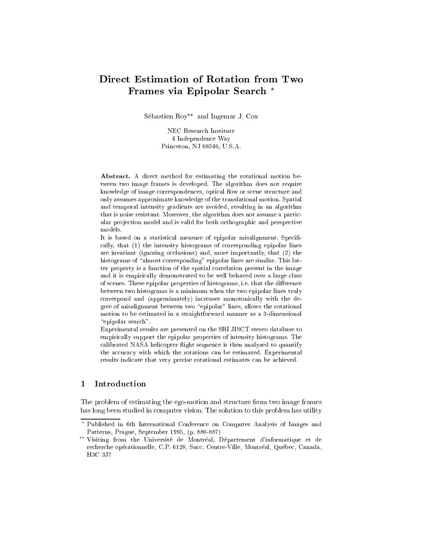# Direct Estimation of Rotation from Two Frames via Epipolar Search ?

Sébastien  $\text{Row}^{**}$  and Ingemar J. Cox

NEC Research Institute 4 Independence Way Princeton, NJ 08540, U.S.A.

Abstract. A direct method for estimating the rotational motion between two image frames is developed. The algorithm does not require knowledge of image correspondences, optical flow or scene structure and only assumes approximate knowledge of the translational motion. Spatial and temporal intensity gradients are avoided, resulting in an algorithm that is noise resistant. Moreover, the algorithm does not assume a particular pro jection model and is valid for both orthographic and perspective models.

It is based on a statistical measure of epipolar misalignment. Specifically, that (1) the intensity histograms of corresponding epipolar lines are invariant (ignoring occlusions) and, more importantly, that (2) the histograms of "almost corresponding" epipolar lines are similar. This latter property is a function of the spatial correlation present in the image and it is empirically demonstrated to be well behaved over a large class of scenes. These epipolar properties of histograms, i.e. that the difference between two histograms is a minimum when the two epipolar lines truly correspond and (approximately) increases monotonically with the degree of misalignment between two "epipolar" lines, allows the rotational motion to be estimated in a straightforward manner as a 3-dimensional "epipolar search".

Experimental results are presented on the SRI JISCT stereo database to empirically support the epipolar properties of intensity histograms. The calibrated NASA helicopter flight sequence is then analyzed to quantify the accuracy with which the rotations can be estimated. Experimental results indicate that very precise rotational estimates can be achieved.

The problem of estimating the ego-motion and structure from two image frames has long been studied in computer vision. The solution to this problem has utility

<sup>?</sup> Published in 6th International Conference on Computer Analysis of Images and Patterns, Prague, September 1995, (p. 880-887)

 $\overset{\star}{\cdot}$  Visiting from the Université de Montréal, Département d'informatique et de recherche opérationnelle, C.P. 6128, Succ. Centre-Ville, Montréal, Québec, Canada, H3C 3.J7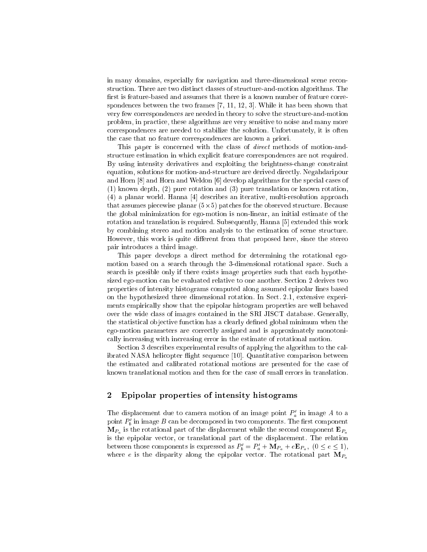in many domains, especially for navigation and three-dimensional scene reconstruction. There are two distinct classes of structure-and-motion algorithms. The first is feature-based and assumes that there is a known number of feature correspondences between the two frames [7, 11, 12, 3]. While it has been shown that very few correspondences are needed in theory to solve the structure-and-motion problem, in practice, these algorithms are very sensitive to noise and many more correspondences are needed to stabilize the solution. Unfortunately, it is often the case that no feature correspondences are known a priori.

This paper is concerned with the class of direct methods of motion-andstructure estimation in which explicit feature correspondences are not required. By using intensity derivatives and exploiting the brightness-change constraint equation, solutions for motion-and-structure are derived directly. Negahdaripour and Horn [8] and Horn and Weldon [6] develop algorithms for the special cases of (1) known depth, (2) pure rotation and (3) pure translation or known rotation, (4) a planar world. Hanna [4] describes an iterative, multi-resolution approach that assumes piecewise planar (5-5) patches for the observed structure. Because the global minimization for ego-motion is non-linear, an initial estimate of the rotation and translation is required. Subsequently, Hanna [5] extended this work by combining stereo and motion analysis to the estimation of scene structure. However, this work is quite different from that proposed here, since the stereo pair introduces a third image.

This paper develops a direct method for determining the rotational egomotion based on a search through the 3-dimensional rotational space. Such a search is possible only if there exists image properties such that each hypothesized ego-motion can be evaluated relative to one another. Section 2 derives two properties of intensity histograms computed along assumed epipolar lines based on the hypothesized three dimensional rotation. In Sect. 2.1, extensive experiments empirically show that the epipolar histogram properties are well behaved over the wide class of images contained in the SRI JISCT database. Generally, the statistical objective function has a clearly defined global minimum when the ego-motion parameters are correctly assigned and is approximately monotonically increasing with increasing error in the estimate of rotational motion.

Section 3 describes experimental results of applying the algorithm to the calibrated NASA helicopter flight sequence [10]. Quantitative comparison between the estimated and calibrated rotational motions are presented for the case of known translational motion and then for the case of small errors in translation.

## 2 Epipolar properties of intensity histograms

The displacement due to camera motion of an image point  $P'_a$  in image A to a point  $P'_i$  in image B can be decomposed in two components. The first component mpa is the rotational part of the displacement while the second component  $\cdots$ is the epipolar vector, or translational part of the displacement. The relation between those components is expressed as  $P'_b = P'_a + M_{P_a} + eE_{P_a}$ ,  $(0 \le e \le 1)$ , where e is the disparity along the epipolar vector. The rotational part  $M_{P_a}$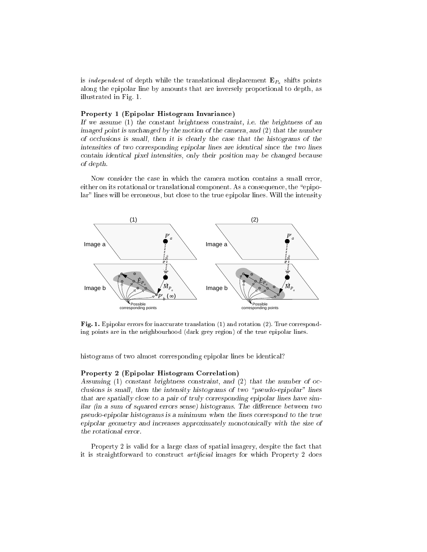is *independent* of depth while the translational displacement  $E_{P_a}$  shifts points along the epipolar line by amounts that are inversely proportional to depth, as illustrated in Fig. 1.

### Property <sup>1</sup> (Epipolar Histogram Invariance)

If we assume (1) the constant brightness constraint, i.e. the brightness of an imaged point is unchanged by the motion of the camera, and (2) that the number of occlusions is small, then it is clearly the case that the histograms of the intensities of two corresponding epipolar lines are identical since the two lines contain identical pixel intensities, only their position may be changed because of depth.

Now consider the case in which the camera motion contains a small error, either on its rotational or translational component. As a consequence, the "epipolar" lines will be erroneous, but close to the true epipolar lines. Will the intensity



Fig. 1. Epipolar errors for inaccurate translation (1) and rotation (2). True corresponding points are in the neighbourhood (dark grey region) of the true epipolar lines.

histograms of two almost corresponding epipolar lines be identical?

### Property <sup>2</sup> (Epipolar Histogram Correlation)

Assuming (1) constant brightness constraint, and (2) that the number of occlusions is small, then the intensity histograms of two "pseudo-epipolar" lines that are spatially close to a pair of truly corresponding epipolar lines have similar (in a sum of squared errors sense) histograms. The difference between two pseudo-epipolar histograms is a minimum when the lines correspond to the true epipolar geometry and increases approximately monotonically with the size of the rotational error.

Property 2 is valid for a large class of spatial imagery, despite the fact that it is straightforward to construct *artificial* images for which Property 2 does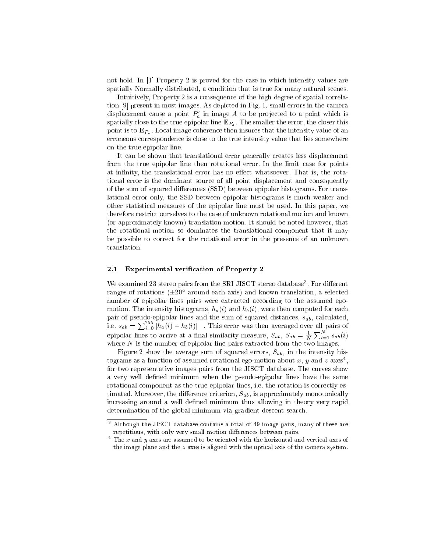not hold. In [1] Property 2 is proved for the case in which intensity values are spatially Normally distributed, a condition that is true for many natural scenes.

Intuitively, Property 2 is a consequence of the high degree of spatial correlation [9] present in most images. As depicted in Fig. 1, small errors in the camera displacement cause a point  $P'_a$  in image A to be projected to a point which is spatially close to the true epipolar line  $\mathbf{E}_{P_a}$ . The smaller the error, the closer this point is to  $\mathbf{E}_{P_a}$ . Local image coherence then insures that the intensity value of an erroneous correspondence is close to the true intensity value that lies somewhere on the true epipolar line.

It can be shown that translational error generally creates less displacement from the true epipolar line then rotational error. In the limit case for points at infinity, the translational error has no effect whatsoever. That is, the rotational error is the dominant source of all point displacement and consequently of the sum of squared differences (SSD) between epipolar histograms. For translational error only, the SSD between epipolar histograms is much weaker and other statistical measures of the epipolar line must be used. In this paper, we therefore restrict ourselves to the case of unknown rotational motion and known (or approximately known) translation motion. It should be noted however, that the rotational motion so dominates the translational component that it may be possible to correct for the rotational error in the presence of an unknown translation.

### 2.1Experimental verification of Property 2

We examined 25 stereo pairs from the  $5R1$  JISCT stereo database. For different ranges of rotations  $(\pm 20$  -around each axis) and known translation, a selected number of epipolar lines pairs were extracted according to the assumed egomotion. The intensity histograms,  $h_a(i)$  and  $h_b(i)$ , were then computed for each pair of pseudo-epipolar lines and the sum of squared distances,  $s_{ab}$ , calculated, i.e.  $s_{ab} = \sum_{i=0}^{255} |h_a(i) - h_b(i)|$  . This error was then averaged over all pairs of epipolar lines to arrive at a final similarity measure,  $S_{ab}$ ,  $S_{ab} = \frac{1}{N} \sum_{i=1}^{N} s_{ab}(i)$ where  $N$  is the number of epipolar line pairs extracted from the two images.

Figure 2 show the average sum of squared errors,  $S_{ab}$ , in the intensity histograms as a function of assumed rotational ego-motion about  $x, \, y$  and  $z$  axes , for two representative images pairs from the JISCT database. The curves show a very well defined minimum when the pseudo-epipolar lines have the same rotational component as the true epipolar lines, i.e. the rotation is correctly estimated. Moreover, the difference criterion,  $S_{ab}$ , is approximately monotonically increasing around a well defined minimum thus allowing in theory very rapid determination of the global minimum via gradient descent search.

 $\,$  - Although the JISCT database contains a total of 49 image pairs, many of these are repetitious, with only very small motion differences between pairs.

 $^\circ$  The  $x$  and  $y$  axes are assumed to be oriented with the horizontal and vertical axes of the image plane and the <sup>z</sup> axes is aligned with the optical axis of the camera system.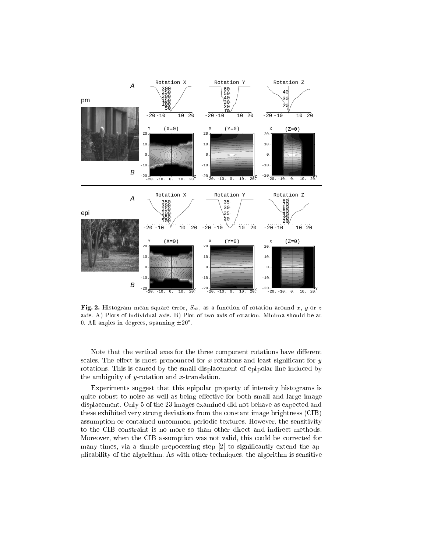

Fig. 2. Histogram mean square error,  $S_{ab}$ , as a function of rotation around x, y or z axis. A) Plots of individual axis. B) Plot of two axis of rotation. Minima should be at  $0.$  All angles in degrees, spanning  $\pm 20^\circ$  .

Note that the vertical axes for the three component rotations have different scales. The effect is most pronounced for  $x$  rotations and least significant for  $y$ rotations. This is caused by the small displacement of epipolar line induced by the ambiguity of y-rotation and  $x$ -translation.

Experiments suggest that this epipolar property of intensity histograms is quite robust to noise as well as being effective for both small and large image displacement. Only 5 of the 23 images examined did not behave as expected and these exhibited very strong deviations from the constant image brightness (CIB) assumption or contained uncommon periodic textures. However, the sensitivity to the CIB constraint is no more so than other direct and indirect methods. Moreover, when the CIB assumption was not valid, this could be corrected for many times, via a simple prepocessing step [2] to significantly extend the applicability of the algorithm. As with other techniques, the algorithm is sensitive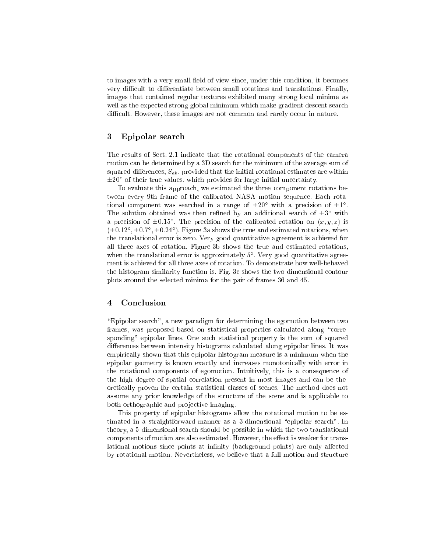to images with a very small field of view since, under this condition, it becomes very difficult to differentiate between small rotations and translations. Finally, images that contained regular textures exhibited many strong local minima as well as the expected strong global minimum which make gradient descent search difficult. However, these images are not common and rarely occur in nature.

### 3 Epipolar search

The results of Sect. 2.1 indicate that the rotational components of the camera motion can be determined by a 3D search for the minimum of the average sum of squared differences,  $S_{ab}$ , provided that the initial rotational estimates are within 20 of their true values, which provides for large initial uncertainty.

To evaluate this approach, we estimated the three component rotations between every 9th frame of the calibrated NASA motion sequence. Each rota $t$ ional component was searched in a range of  $\pm 20$  with a precision of  $\pm 1$ . The solution obtained was then refined by an additional search of  $\pm 5$  with a precision of  $\pm 0.15^{\circ}$ . The precision of the calibrated rotation on  $(x, y, z)$  is  $(1\pm0.12)$  ,  $\pm0.7$  ,  $\pm0.24$  ). Figure 3a shows the true and estimated rotations, when the translational error is zero. Very good quantitative agreement is achieved for all three axes of rotation. Figure 3b shows the true and estimated rotations, when the translational error is approximately 5 . Very good quantitative agreement is achieved for all three axes of rotation. To demonstrate how well-behaved the histogram similarity function is, Fig. 3c shows the two dimensional contour plots around the selected minima for the pair of frames 36 and 45.

### 4 Conclusion

\Epipolar search", a new paradigm for determining the egomotion between two frames, was proposed based on statistical properties calculated along "corresponding" epipolar lines. One such statistical property is the sum of squared differences between intensity histograms calculated along epipolar lines. It was empirically shown that this epipolar histogram measure is a minimum when the epipolar geometry is known exactly and increases monotonically with error in the rotational components of egomotion. Intuitively, this is a consequence of the high degree of spatial correlation present in most images and can be theoretically proven for certain statistical classes of scenes. The method does not assume any prior knowledge of the structure of the scene and is applicable to both orthographic and projective imaging.

This property of epipolar histograms allow the rotational motion to be estimated in a straightforward manner as a 3-dimensional \epipolar search". In theory, a 5-dimensional search should be possible in which the two translational components of motion are also estimated. However, the effect is weaker for translational motions since points at infinity (background points) are only affected by rotational motion. Nevertheless, we believe that a full motion-and-structure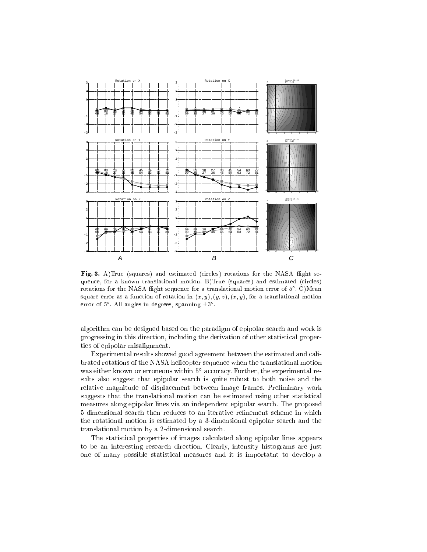

Fig. 3. A)True (squares) and estimated (circles) rotations for the NASA flight sequence, for a known translational motion. B)True (squares) and estimated (circles) rotations for the NASA flight sequence for a translational motion error of  $5^\circ$  . C)Mean square error as a function of rotation in  $(x, y)$ ,  $(y, z)$ ,  $(x, y)$ , for a translational motion error of  $5^\circ$ . All angles in degrees, spanning  $\pm 3^\circ$ .

algorithm can be designed based on the paradigm of epipolar search and work is progressing in this direction, including the derivation of other statistical properties of epipolar misalignment.

Experimental results showed good agreement between the estimated and calibrated rotations of the NASA helicopter sequence when the translational motion was either known or erroneous within 5 accuracy. Further, the experimental results also suggest that epipolar search is quite robust to both noise and the relative magnitude of displacement between image frames. Preliminary work suggests that the translational motion can be estimated using other statistical measures along epipolar lines via an independent epipolar search. The proposed 5-dimensional search then reduces to an iterative refinement scheme in which the rotational motion is estimated by a 3-dimensional epipolar search and the translational motion by a 2-dimensional search.

The statistical properties of images calculated along epipolar lines appears to be an interesting research direction. Clearly, intensity histograms are just one of many possible statistical measures and it is importatnt to develop a